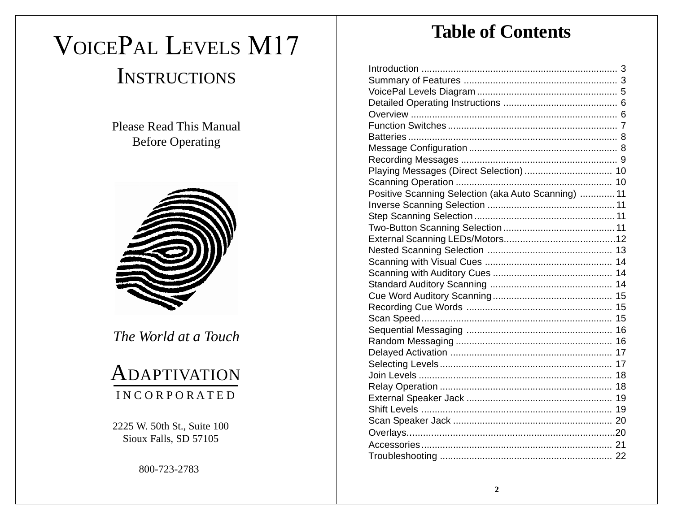# VOICEPAL LEVELS M17 **INSTRUCTIONS**

Please Read This Manual Before Operating



*The World at a Touch*

# ADAPTIVATION I N C O R P O R A T E D

2225 W. 50th St., Suite 100 Sioux Falls, SD 57105

800-723-2783

# **Table of Contents**

| Playing Messages (Direct Selection)  10             |  |
|-----------------------------------------------------|--|
|                                                     |  |
| Positive Scanning Selection (aka Auto Scanning)  11 |  |
|                                                     |  |
|                                                     |  |
|                                                     |  |
|                                                     |  |
|                                                     |  |
|                                                     |  |
|                                                     |  |
|                                                     |  |
|                                                     |  |
|                                                     |  |
|                                                     |  |
|                                                     |  |
|                                                     |  |
|                                                     |  |
|                                                     |  |
|                                                     |  |
|                                                     |  |
|                                                     |  |
|                                                     |  |
|                                                     |  |
|                                                     |  |
|                                                     |  |
|                                                     |  |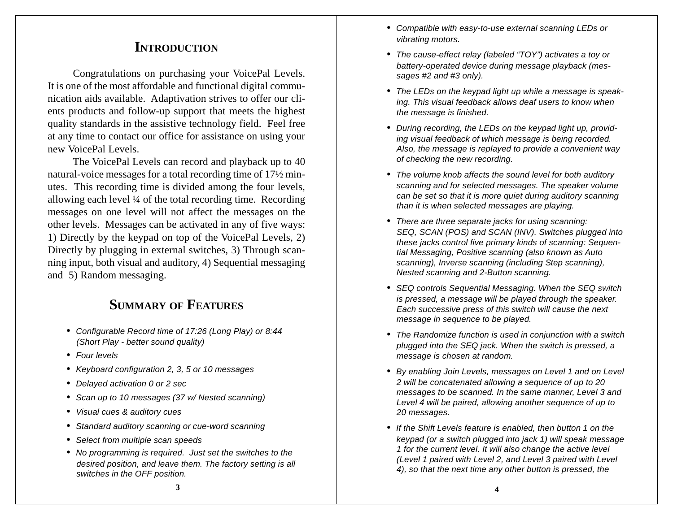# **INTRODUCTION**

Congratulations on purchasing your VoicePal Levels. It is one of the most affordable and functional digital communication aids available. Adaptivation strives to offer our clients products and follow-up support that meets the highest quality standards in the assistive technology field. Feel free at any time to contact our office for assistance on using your new VoicePal Levels.

The VoicePal Levels can record and playback up to 40 natural-voice messages for a total recording time of 17½ minutes. This recording time is divided among the four levels, allowing each level ¼ of the total recording time. Recording messages on one level will not affect the messages on the other levels. Messages can be activated in any of five ways: 1) Directly by the keypad on top of the VoicePal Levels, 2) Directly by plugging in external switches, 3) Through scanning input, both visual and auditory, 4) Sequential messaging and 5) Random messaging.

# **SUMMARY OF FEATURES**

- *• Configurable Record time of 17:26 (Long Play) or 8:44 (Short Play - better sound quality)*
- *• Four levels*
- *• Keyboard configuration 2, 3, 5 or 10 messages*
- *• Delayed activation 0 or 2 sec*
- *• Scan up to 10 messages (37 w/ Nested scanning)*
- *• Visual cues & auditory cues*
- *• Standard auditory scanning or cue-word scanning*
- *• Select from multiple scan speeds*
- *• No programming is required. Just set the switches to the desired position, and leave them. The factory setting is all switches in the OFF position.*
- *• Compatible with easy-to-use external scanning LEDs or vibrating motors.*
- *• The cause-effect relay (labeled "TOY") activates a toy or battery-operated device during message playback (messages #2 and #3 only).*
- *• The LEDs on the keypad light up while a message is speaking. This visual feedback allows deaf users to know when the message is finished.*
- *• During recording, the LEDs on the keypad light up, providing visual feedback of which message is being recorded. Also, the message is replayed to provide a convenient way of checking the new recording.*
- *• The volume knob affects the sound level for both auditory scanning and for selected messages. The speaker volume can be set so that it is more quiet during auditory scanning than it is when selected messages are playing.*
- *• There are three separate jacks for using scanning: SEQ, SCAN (POS) and SCAN (INV). Switches plugged into these jacks control five primary kinds of scanning: Sequential Messaging, Positive scanning (also known as Auto scanning), Inverse scanning (including Step scanning), Nested scanning and 2-Button scanning.*
- *• SEQ controls Sequential Messaging. When the SEQ switch is pressed, a message will be played through the speaker. Each successive press of this switch will cause the next message in sequence to be played.*
- *• The Randomize function is used in conjunction with a switch plugged into the SEQ jack. When the switch is pressed, a message is chosen at random.*
- *• By enabling Join Levels, messages on Level 1 and on Level 2 will be concatenated allowing a sequence of up to 20 messages to be scanned. In the same manner, Level 3 and Level 4 will be paired, allowing another sequence of up to 20 messages.*
- *• If the Shift Levels feature is enabled, then button 1 on the keypad (or a switch plugged into jack 1) will speak message 1 for the current level. It will also change the active level (Level 1 paired with Level 2, and Level 3 paired with Level 4), so that the next time any other button is pressed, the*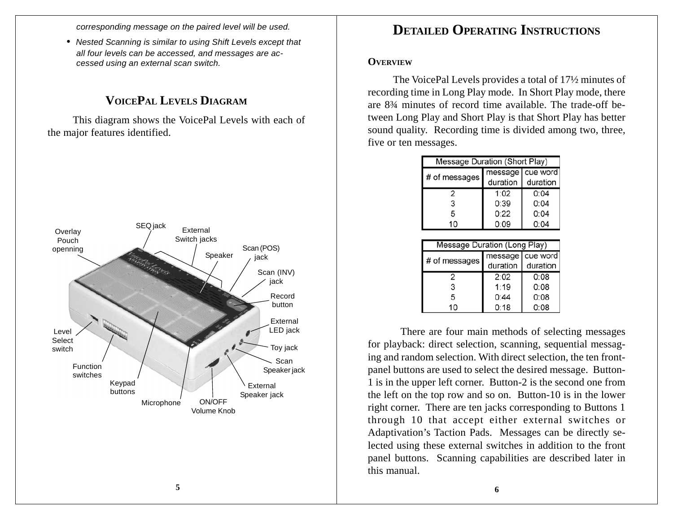*corresponding message on the paired level will be used.*

*• Nested Scanning is similar to using Shift Levels except that all four levels can be accessed, and messages are accessed using an external scan switch.*

# **VOICEPAL LEVELS DIAGRAM**

This diagram shows the VoicePal Levels with each of the major features identified.



# **DETAILED OPERATING INSTRUCTIONS**

#### **OVERVIEW**

The VoicePal Levels provides a total of 17½ minutes of recording time in Long Play mode. In Short Play mode, there are 8¾ minutes of record time available. The trade-off between Long Play and Short Play is that Short Play has better sound quality. Recording time is divided among two, three, five or ten messages.

| Message Duration (Short Play) |          |                                |  |
|-------------------------------|----------|--------------------------------|--|
| # of messages                 | duration | message   cue word<br>duration |  |
| 2                             | 1:02     | 0:04                           |  |
| 3                             | 0:39     | 0:04                           |  |
| 5                             | 0:22     | 0:04                           |  |
| 10                            | 0:09     | 0:04                           |  |

| Message Duration (Long Play) |          |                    |  |
|------------------------------|----------|--------------------|--|
| # of messages                |          | message   cue word |  |
|                              | duration | duration           |  |
| 2                            | 2:02     | 0:08               |  |
| 3                            | 1:19     | 0:08               |  |
| 5                            | 0:44     | 0:08               |  |
| 10                           | 0:18     | 0:08               |  |

 There are four main methods of selecting messages for playback: direct selection, scanning, sequential messaging and random selection. With direct selection, the ten frontpanel buttons are used to select the desired message. Button-1 is in the upper left corner. Button-2 is the second one from the left on the top row and so on. Button-10 is in the lower right corner. There are ten jacks corresponding to Buttons 1 through 10 that accept either external switches or Adaptivation's Taction Pads. Messages can be directly selected using these external switches in addition to the front panel buttons. Scanning capabilities are described later in this manual.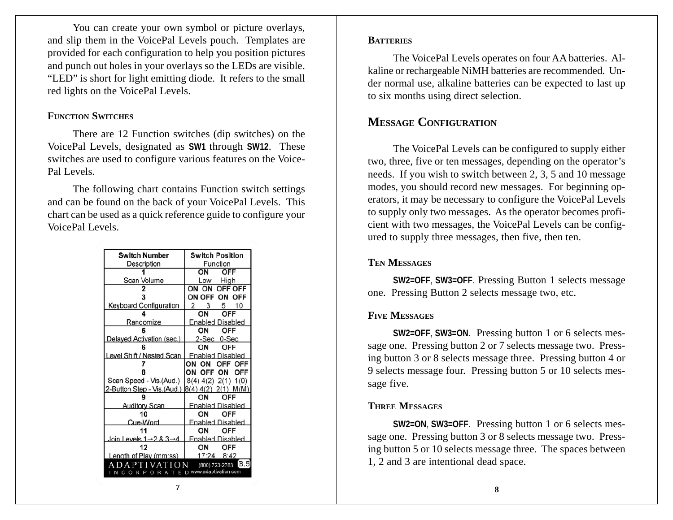You can create your own symbol or picture overlays, and slip them in the VoicePal Levels pouch. Templates are provided for each configuration to help you position pictures and punch out holes in your overlays so the LEDs are visible. "LED" is short for light emitting diode. It refers to the small red lights on the VoicePal Levels.

#### **FUNCTION SWITCHES**

There are 12 Function switches (dip switches) on the VoicePal Levels, designated as **SW1** through **SW12**. These switches are used to configure various features on the Voice-Pal Levels.

The following chart contains Function switch settings and can be found on the back of your VoicePal Levels. This chart can be used as a quick reference guide to configure your VoicePal Levels.

| Switch Number                                     | <b>Switch Position</b>  |  |
|---------------------------------------------------|-------------------------|--|
| Description                                       | Function                |  |
|                                                   | ON<br>OFF               |  |
| Scan Volume                                       | Hiah<br>Low             |  |
|                                                   | OFF OFF<br>ON ON        |  |
|                                                   | ON OFF<br>ON OFF        |  |
| <b>Keyboard Configuration</b>                     | 2<br>5 10<br>3          |  |
|                                                   | OΝ<br>OFF               |  |
| Randomize                                         | <b>Enabled Disabled</b> |  |
|                                                   | OFF<br>OΝ               |  |
| Delayed Activation (sec.)                         | 2-Sec 0-Sec             |  |
|                                                   | OΝ<br>OFF               |  |
| Level Shift / Nested Scan                         | <b>Enabled Disabled</b> |  |
|                                                   | ON<br>OFF OFF<br>ON     |  |
|                                                   | ON<br>OFF<br>ON<br>OFF  |  |
| Scan Speed - Vis.(Aud.)                           | $8(4)$ 4(2) 2(1) 1(0)   |  |
| 2-Button Step - Vis.(Aud.)                        | (8(4) 4(2) 2(1) M(M)    |  |
|                                                   | OFF<br>OΝ               |  |
| <b>Auditory Scan</b>                              | <b>Enabled Disabled</b> |  |
| 10                                                | OFF<br>OΝ               |  |
| Cue-Word                                          | <b>Enabled Disabled</b> |  |
|                                                   | OΝ<br>OFF               |  |
| Join Levels $1 \rightarrow 2$ & $3 \rightarrow 4$ | <b>Fnabled Disabled</b> |  |
| 12                                                | OΝ<br>OFF               |  |
| Length of Play (mm:ss)                            | 17:24 8:42              |  |
| IB.5<br>VAT<br>(800) 723-2783<br>ш                |                         |  |
| O R A T E D www.adaptivation.com<br>Р.<br>R.      |                         |  |

#### **BATTERIES**

The VoicePal Levels operates on four AA batteries. Alkaline or rechargeable NiMH batteries are recommended. Under normal use, alkaline batteries can be expected to last up to six months using direct selection.

### **MESSAGE CONFIGURATION**

The VoicePal Levels can be configured to supply either two, three, five or ten messages, depending on the operator's needs. If you wish to switch between 2, 3, 5 and 10 message modes, you should record new messages. For beginning operators, it may be necessary to configure the VoicePal Levels to supply only two messages. As the operator becomes proficient with two messages, the VoicePal Levels can be configured to supply three messages, then five, then ten.

#### **TEN MESSAGES**

**SW2=OFF**, **SW3=OFF**. Pressing Button 1 selects message one. Pressing Button 2 selects message two, etc.

#### **FIVE MESSAGES**

**SW2=OFF**, **SW3=ON**. Pressing button 1 or 6 selects message one. Pressing button 2 or 7 selects message two. Pressing button 3 or 8 selects message three. Pressing button 4 or 9 selects message four. Pressing button 5 or 10 selects message five.

#### **THREE MESSAGES**

**SW2=ON**, **SW3=OFF**. Pressing button 1 or 6 selects message one. Pressing button 3 or 8 selects message two. Pressing button 5 or 10 selects message three. The spaces between 1, 2 and 3 are intentional dead space.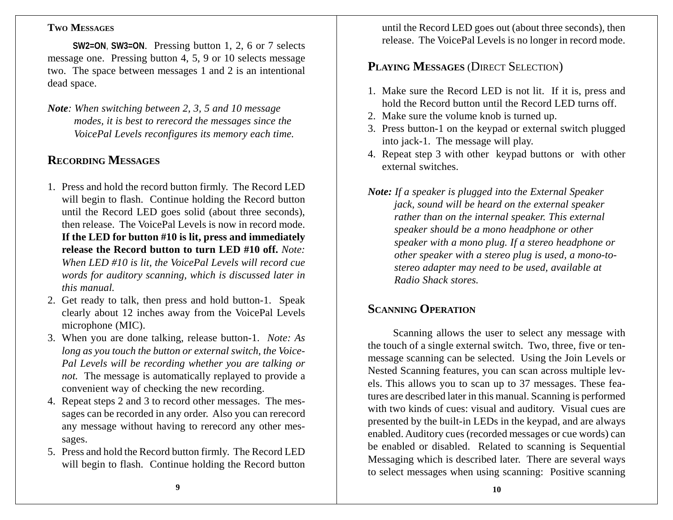#### **TWO MESSAGES**

**SW2=ON**, **SW3=ON**. Pressing button 1, 2, 6 or 7 selects message one. Pressing button 4, 5, 9 or 10 selects message two. The space between messages 1 and 2 is an intentional dead space.

*Note: When switching between 2, 3, 5 and 10 message modes, it is best to rerecord the messages since the VoicePal Levels reconfigures its memory each time.*

# **RECORDING MESSAGES**

- 1. Press and hold the record button firmly. The Record LED will begin to flash. Continue holding the Record button until the Record LED goes solid (about three seconds), then release. The VoicePal Levels is now in record mode. **If the LED for button #10 is lit, press and immediately release the Record button to turn LED #10 off.** *Note: When LED #10 is lit, the VoicePal Levels will record cue words for auditory scanning, which is discussed later in this manual.*
- 2. Get ready to talk, then press and hold button-1. Speak clearly about 12 inches away from the VoicePal Levels microphone (MIC).
- 3. When you are done talking, release button-1. *Note: As long as you touch the button or external switch, the Voice-Pal Levels will be recording whether you are talking or not.* The message is automatically replayed to provide a convenient way of checking the new recording.
- 4. Repeat steps 2 and 3 to record other messages. The messages can be recorded in any order. Also you can rerecord any message without having to rerecord any other messages.
- 5. Press and hold the Record button firmly. The Record LED will begin to flash. Continue holding the Record button

until the Record LED goes out (about three seconds), then release. The VoicePal Levels is no longer in record mode.

# **PLAYING MESSAGES** (DIRECT SELECTION)

- 1. Make sure the Record LED is not lit. If it is, press and hold the Record button until the Record LED turns off.
- 2. Make sure the volume knob is turned up.
- 3. Press button-1 on the keypad or external switch plugged into jack-1. The message will play.
- 4. Repeat step 3 with other keypad buttons or with other external switches.
- *Note: If a speaker is plugged into the External Speaker jack, sound will be heard on the external speaker rather than on the internal speaker. This external speaker should be a mono headphone or other speaker with a mono plug. If a stereo headphone or other speaker with a stereo plug is used, a mono-tostereo adapter may need to be used, available at Radio Shack stores.*

# **SCANNING OPERATION**

Scanning allows the user to select any message with the touch of a single external switch. Two, three, five or tenmessage scanning can be selected. Using the Join Levels or Nested Scanning features, you can scan across multiple levels. This allows you to scan up to 37 messages. These features are described later in this manual. Scanning is performed with two kinds of cues: visual and auditory. Visual cues are presented by the built-in LEDs in the keypad, and are always enabled. Auditory cues (recorded messages or cue words) can be enabled or disabled. Related to scanning is Sequential Messaging which is described later. There are several ways to select messages when using scanning: Positive scanning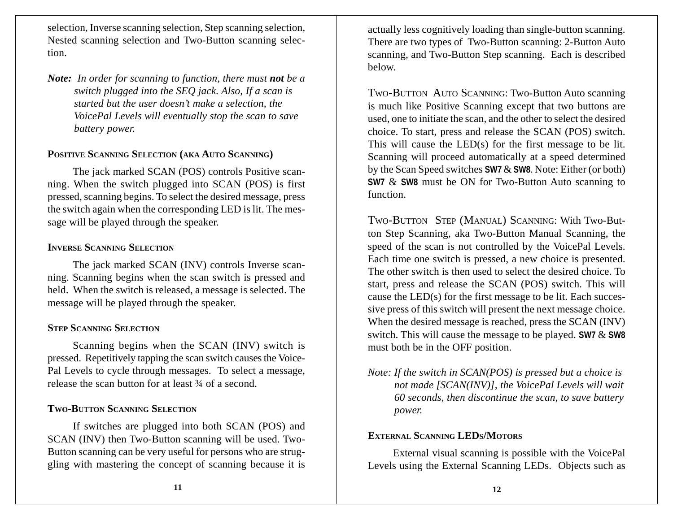selection, Inverse scanning selection, Step scanning selection, Nested scanning selection and Two-Button scanning selection.

*Note: In order for scanning to function, there must not be a switch plugged into the SEQ jack. Also, If a scan is started but the user doesn't make a selection, the VoicePal Levels will eventually stop the scan to save battery power.*

#### **POSITIVE SCANNING SELECTION (AKA AUTO SCANNING)**

The jack marked SCAN (POS) controls Positive scanning. When the switch plugged into SCAN (POS) is first pressed, scanning begins. To select the desired message, press the switch again when the corresponding LED is lit. The message will be played through the speaker.

#### **INVERSE SCANNING SELECTION**

The jack marked SCAN (INV) controls Inverse scanning. Scanning begins when the scan switch is pressed and held. When the switch is released, a message is selected. The message will be played through the speaker.

#### **STEP SCANNING SELECTION**

Scanning begins when the SCAN (INV) switch is pressed. Repetitively tapping the scan switch causes the Voice-Pal Levels to cycle through messages. To select a message, release the scan button for at least ¾ of a second.

#### **TWO-BUTTON SCANNING SELECTION**

If switches are plugged into both SCAN (POS) and SCAN (INV) then Two-Button scanning will be used. Two-Button scanning can be very useful for persons who are struggling with mastering the concept of scanning because it is actually less cognitively loading than single-button scanning. There are two types of Two-Button scanning: 2-Button Auto scanning, and Two-Button Step scanning. Each is described below.

TWO-BUTTON AUTO SCANNING: Two-Button Auto scanning is much like Positive Scanning except that two buttons are used, one to initiate the scan, and the other to select the desired choice. To start, press and release the SCAN (POS) switch. This will cause the LED(s) for the first message to be lit. Scanning will proceed automatically at a speed determined by the Scan Speed switches **SW7** & **SW8**. Note: Either (or both) **SW7** & **SW8** must be ON for Two-Button Auto scanning to function.

TWO-BUTTON STEP (MANUAL) SCANNING: With Two-Button Step Scanning, aka Two-Button Manual Scanning, the speed of the scan is not controlled by the VoicePal Levels. Each time one switch is pressed, a new choice is presented. The other switch is then used to select the desired choice. To start, press and release the SCAN (POS) switch. This will cause the LED(s) for the first message to be lit. Each successive press of this switch will present the next message choice. When the desired message is reached, press the SCAN (INV) switch. This will cause the message to be played. **SW7** & **SW8** must both be in the OFF position.

*Note: If the switch in SCAN(POS) is pressed but a choice is not made [SCAN(INV)], the VoicePal Levels will wait 60 seconds, then discontinue the scan, to save battery power.*

#### **EXTERNAL SCANNING LEDS/MOTORS**

External visual scanning is possible with the VoicePal Levels using the External Scanning LEDs. Objects such as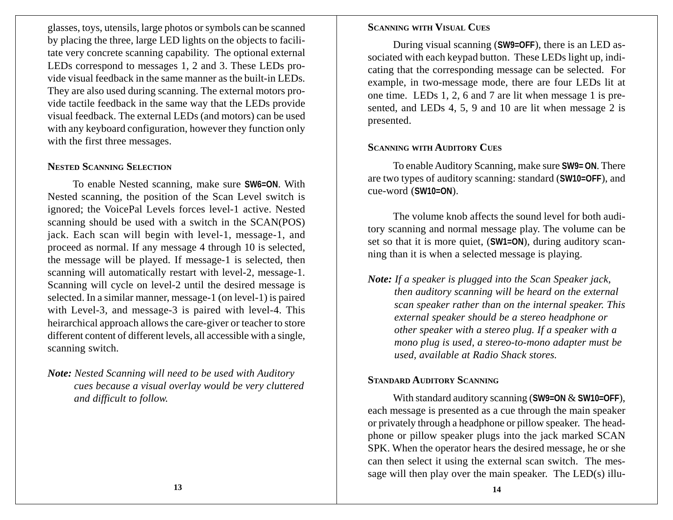glasses, toys, utensils, large photos or symbols can be scanned by placing the three, large LED lights on the objects to facilitate very concrete scanning capability. The optional external LEDs correspond to messages 1, 2 and 3. These LEDs provide visual feedback in the same manner as the built-in LEDs. They are also used during scanning. The external motors provide tactile feedback in the same way that the LEDs provide visual feedback. The external LEDs (and motors) can be used with any keyboard configuration, however they function only with the first three messages.

#### **NESTED SCANNING SELECTION**

To enable Nested scanning, make sure **SW6=ON**. With Nested scanning, the position of the Scan Level switch is ignored; the VoicePal Levels forces level-1 active. Nested scanning should be used with a switch in the SCAN(POS) jack. Each scan will begin with level-1, message-1, and proceed as normal. If any message 4 through 10 is selected, the message will be played. If message-1 is selected, then scanning will automatically restart with level-2, message-1. Scanning will cycle on level-2 until the desired message is selected. In a similar manner, message-1 (on level-1) is paired with Level-3, and message-3 is paired with level-4. This heirarchical approach allows the care-giver or teacher to store different content of different levels, all accessible with a single, scanning switch.

*Note: Nested Scanning will need to be used with Auditory cues because a visual overlay would be very cluttered and difficult to follow.*

#### **SCANNING WITH VISUAL CUES**

During visual scanning (**SW9=OFF**), there is an LED associated with each keypad button. These LEDs light up, indicating that the corresponding message can be selected. For example, in two-message mode, there are four LEDs lit at one time. LEDs 1, 2, 6 and 7 are lit when message 1 is presented, and LEDs 4, 5, 9 and 10 are lit when message 2 is presented.

#### **SCANNING WITH AUDITORY CUES**

To enable Auditory Scanning, make sure **SW9= ON**. There are two types of auditory scanning: standard (**SW10=OFF**), and cue-word (**SW10=ON**).

The volume knob affects the sound level for both auditory scanning and normal message play. The volume can be set so that it is more quiet, (**SW1=ON**), during auditory scanning than it is when a selected message is playing.

*Note: If a speaker is plugged into the Scan Speaker jack, then auditory scanning will be heard on the external scan speaker rather than on the internal speaker. This external speaker should be a stereo headphone or other speaker with a stereo plug. If a speaker with a mono plug is used, a stereo-to-mono adapter must be used, available at Radio Shack stores.*

#### **STANDARD AUDITORY SCANNING**

With standard auditory scanning (**SW9=ON** & **SW10=OFF**), each message is presented as a cue through the main speaker or privately through a headphone or pillow speaker. The headphone or pillow speaker plugs into the jack marked SCAN SPK. When the operator hears the desired message, he or she can then select it using the external scan switch. The message will then play over the main speaker. The LED(s) illu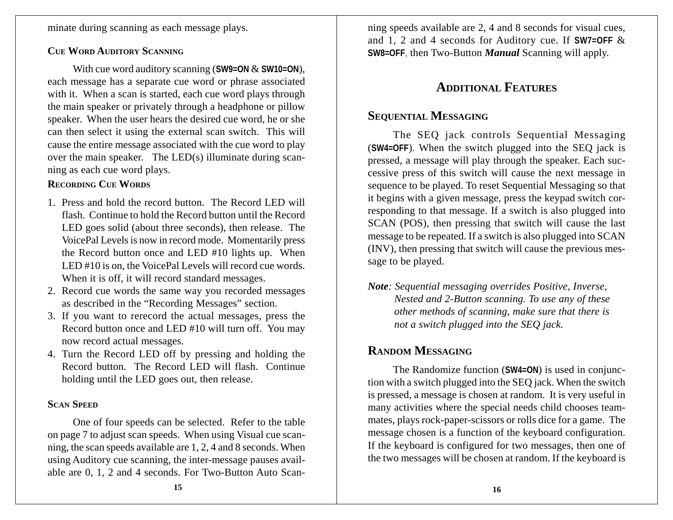minate during scanning as each message plays.

#### **CUE WORD AUDITORY SCANNING**

With cue word auditory scanning (**SW9=ON** & **SW10=ON**), each message has a separate cue word or phrase associated with it. When a scan is started, each cue word plays through the main speaker or privately through a headphone or pillow speaker. When the user hears the desired cue word, he or she can then select it using the external scan switch. This will cause the entire message associated with the cue word to play over the main speaker. The LED(s) illuminate during scanning as each cue word plays.

#### **RECORDING CUE WORDS**

- 1. Press and hold the record button. The Record LED will flash. Continue to hold the Record button until the Record LED goes solid (about three seconds), then release. The VoicePal Levels is now in record mode. Momentarily press the Record button once and LED #10 lights up. When LED #10 is on, the VoicePal Levels will record cue words. When it is off, it will record standard messages.
- 2. Record cue words the same way you recorded messages as described in the "Recording Messages" section.
- 3. If you want to rerecord the actual messages, press the Record button once and LED #10 will turn off. You may now record actual messages.
- 4. Turn the Record LED off by pressing and holding the Record button. The Record LED will flash. Continue holding until the LED goes out, then release.

#### **SCAN SPEED**

One of four speeds can be selected. Refer to the table on page 7 to adjust scan speeds. When using Visual cue scanning, the scan speeds available are 1, 2, 4 and 8 seconds. When using Auditory cue scanning, the inter-message pauses available are 0, 1, 2 and 4 seconds. For Two-Button Auto Scanning speeds available are 2, 4 and 8 seconds for visual cues, and 1, 2 and 4 seconds for Auditory cue. If **SW7=OFF** & **SW8=OFF**, then Two-Button *Manual* Scanning will apply.

# **ADDITIONAL FEATURES**

# **SEQUENTIAL MESSAGING**

The SEQ jack controls Sequential Messaging (**SW4=OFF**). When the switch plugged into the SEQ jack is pressed, a message will play through the speaker. Each successive press of this switch will cause the next message in sequence to be played. To reset Sequential Messaging so that it begins with a given message, press the keypad switch corresponding to that message. If a switch is also plugged into SCAN (POS), then pressing that switch will cause the last message to be repeated. If a switch is also plugged into SCAN (INV), then pressing that switch will cause the previous message to be played.

*Note: Sequential messaging overrides Positive, Inverse, Nested and 2-Button scanning. To use any of these other methods of scanning, make sure that there is not a switch plugged into the SEQ jack.*

# **RANDOM MESSAGING**

The Randomize function (**SW4=ON**) is used in conjunction with a switch plugged into the SEQ jack. When the switch is pressed, a message is chosen at random. It is very useful in many activities where the special needs child chooses teammates, plays rock-paper-scissors or rolls dice for a game. The message chosen is a function of the keyboard configuration. If the keyboard is configured for two messages, then one of the two messages will be chosen at random. If the keyboard is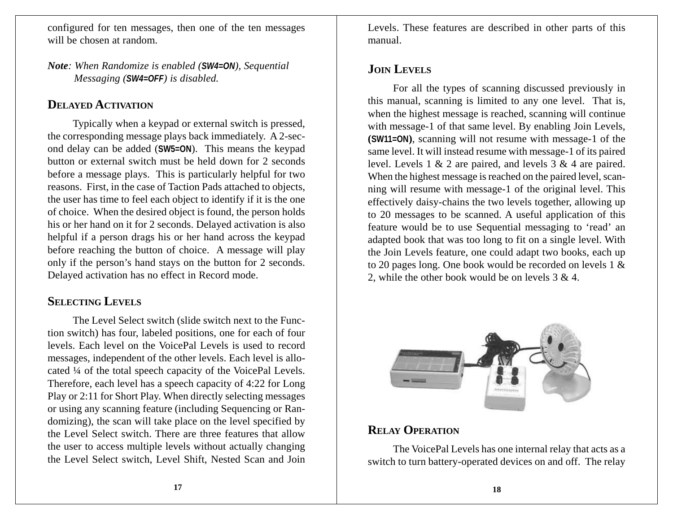configured for ten messages, then one of the ten messages will be chosen at random.

*Note: When Randomize is enabled (SW4=ON), Sequential Messaging (SW4=OFF) is disabled.*

## **DELAYED ACTIVATION**

Typically when a keypad or external switch is pressed, the corresponding message plays back immediately. A 2-second delay can be added (**SW5=ON**). This means the keypad button or external switch must be held down for 2 seconds before a message plays. This is particularly helpful for two reasons. First, in the case of Taction Pads attached to objects, the user has time to feel each object to identify if it is the one of choice. When the desired object is found, the person holds his or her hand on it for 2 seconds. Delayed activation is also helpful if a person drags his or her hand across the keypad before reaching the button of choice. A message will play only if the person's hand stays on the button for 2 seconds. Delayed activation has no effect in Record mode.

# **SELECTING LEVELS**

The Level Select switch (slide switch next to the Function switch) has four, labeled positions, one for each of four levels. Each level on the VoicePal Levels is used to record messages, independent of the other levels. Each level is allocated ¼ of the total speech capacity of the VoicePal Levels. Therefore, each level has a speech capacity of 4:22 for Long Play or 2:11 for Short Play. When directly selecting messages or using any scanning feature (including Sequencing or Randomizing), the scan will take place on the level specified by the Level Select switch. There are three features that allow the user to access multiple levels without actually changing the Level Select switch, Level Shift, Nested Scan and Join Levels. These features are described in other parts of this manual.

# **JOIN LEVELS**

For all the types of scanning discussed previously in this manual, scanning is limited to any one level. That is, when the highest message is reached, scanning will continue with message-1 of that same level. By enabling Join Levels, **(SW11=ON)**, scanning will not resume with message-1 of the same level. It will instead resume with message-1 of its paired level. Levels 1 & 2 are paired, and levels 3 & 4 are paired. When the highest message is reached on the paired level, scanning will resume with message-1 of the original level. This effectively daisy-chains the two levels together, allowing up to 20 messages to be scanned. A useful application of this feature would be to use Sequential messaging to 'read' an adapted book that was too long to fit on a single level. With the Join Levels feature, one could adapt two books, each up to 20 pages long. One book would be recorded on levels 1 & 2, while the other book would be on levels 3 & 4.



# **RELAY OPERATION**

The VoicePal Levels has one internal relay that acts as a switch to turn battery-operated devices on and off. The relay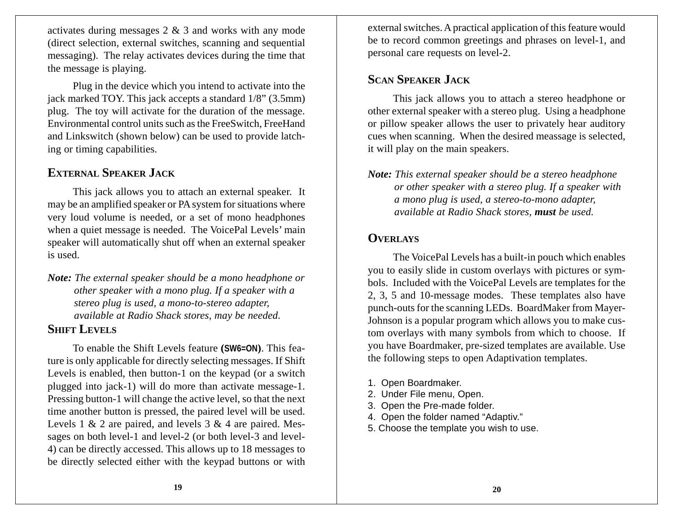activates during messages 2 & 3 and works with any mode (direct selection, external switches, scanning and sequential messaging). The relay activates devices during the time that the message is playing.

Plug in the device which you intend to activate into the jack marked TOY. This jack accepts a standard 1/8" (3.5mm) plug. The toy will activate for the duration of the message. Environmental control units such as the FreeSwitch, FreeHand and Linkswitch (shown below) can be used to provide latching or timing capabilities.

# **EXTERNAL SPEAKER JACK**

This jack allows you to attach an external speaker. It may be an amplified speaker or PA system for situations where very loud volume is needed, or a set of mono headphones when a quiet message is needed. The VoicePal Levels' main speaker will automatically shut off when an external speaker is used.

*Note: The external speaker should be a mono headphone or other speaker with a mono plug. If a speaker with a stereo plug is used, a mono-to-stereo adapter, available at Radio Shack stores, may be needed.*

### **SHIFT LEVELS**

To enable the Shift Levels feature **(SW6=ON)**. This feature is only applicable for directly selecting messages. If Shift Levels is enabled, then button-1 on the keypad (or a switch plugged into jack-1) will do more than activate message-1. Pressing button-1 will change the active level, so that the next time another button is pressed, the paired level will be used. Levels 1  $\&$  2 are paired, and levels 3  $\&$  4 are paired. Messages on both level-1 and level-2 (or both level-3 and level-4) can be directly accessed. This allows up to 18 messages to be directly selected either with the keypad buttons or with

external switches. A practical application of this feature would be to record common greetings and phrases on level-1, and personal care requests on level-2.

# **SCAN SPEAKER JACK**

This jack allows you to attach a stereo headphone or other external speaker with a stereo plug. Using a headphone or pillow speaker allows the user to privately hear auditory cues when scanning. When the desired meassage is selected, it will play on the main speakers.

*Note: This external speaker should be a stereo headphone or other speaker with a stereo plug. If a speaker with a mono plug is used, a stereo-to-mono adapter, available at Radio Shack stores, must be used.*

# **OVERLAYS**

The VoicePal Levels has a built-in pouch which enables you to easily slide in custom overlays with pictures or symbols. Included with the VoicePal Levels are templates for the 2, 3, 5 and 10-message modes. These templates also have punch-outs for the scanning LEDs. BoardMaker from Mayer-Johnson is a popular program which allows you to make custom overlays with many symbols from which to choose. If you have Boardmaker, pre-sized templates are available. Use the following steps to open Adaptivation templates.

- 1. Open Boardmaker.
- 2. Under File menu, Open.
- 3. Open the Pre-made folder.
- 4. Open the folder named "Adaptiv."
- 5. Choose the template you wish to use.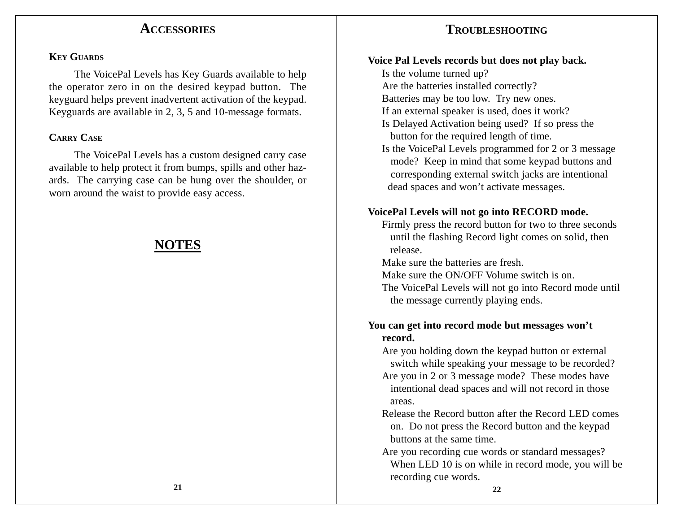# **ACCESSORIES**

# **TROUBLESHOOTING**

#### **KEY GUARDS**

The VoicePal Levels has Key Guards available to help the operator zero in on the desired keypad button. The keyguard helps prevent inadvertent activation of the keypad. Keyguards are available in 2, 3, 5 and 10-message formats.

#### **CARRY CASE**

The VoicePal Levels has a custom designed carry case available to help protect it from bumps, spills and other hazards. The carrying case can be hung over the shoulder, or worn around the waist to provide easy access.

# **NOTES**

#### **Voice Pal Levels records but does not play back.**

Is the volume turned up? Are the batteries installed correctly? Batteries may be too low. Try new ones. If an external speaker is used, does it work? Is Delayed Activation being used? If so press the button for the required length of time. Is the VoicePal Levels programmed for 2 or 3 message mode? Keep in mind that some keypad buttons and corresponding external switch jacks are intentional dead spaces and won't activate messages.

#### **VoicePal Levels will not go into RECORD mode.**

Firmly press the record button for two to three seconds until the flashing Record light comes on solid, then release.

Make sure the batteries are fresh.

Make sure the ON/OFF Volume switch is on.

The VoicePal Levels will not go into Record mode until the message currently playing ends.

#### **You can get into record mode but messages won't record.**

Are you holding down the keypad button or external switch while speaking your message to be recorded? Are you in 2 or 3 message mode? These modes have intentional dead spaces and will not record in those areas.

Release the Record button after the Record LED comes on. Do not press the Record button and the keypad buttons at the same time.

Are you recording cue words or standard messages? When LED 10 is on while in record mode, you will be recording cue words.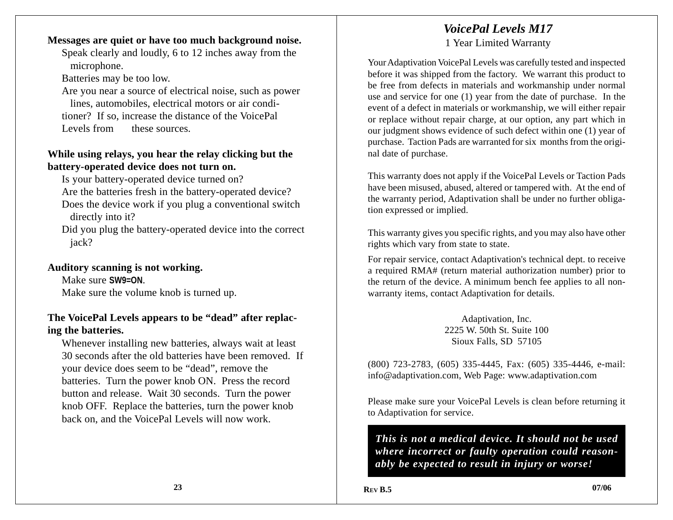# *VoicePal Levels M17*

1 Year Limited Warranty

Speak clearly and loudly, 6 to 12 inches away from the microphone.

**Messages are quiet or have too much background noise.**

Batteries may be too low.

Are you near a source of electrical noise, such as power lines, automobiles, electrical motors or air conditioner? If so, increase the distance of the VoicePal Levels from these sources.

### **While using relays, you hear the relay clicking but the battery-operated device does not turn on.**

Is your battery-operated device turned on? Are the batteries fresh in the battery-operated device? Does the device work if you plug a conventional switch directly into it?

Did you plug the battery-operated device into the correct iack?

#### **Auditory scanning is not working.**

Make sure **SW9=ON**. Make sure the volume knob is turned up.

#### **The VoicePal Levels appears to be "dead" after replacing the batteries.**

Whenever installing new batteries, always wait at least 30 seconds after the old batteries have been removed. If your device does seem to be "dead", remove the batteries. Turn the power knob ON. Press the record button and release. Wait 30 seconds. Turn the power knob OFF. Replace the batteries, turn the power knob back on, and the VoicePal Levels will now work.

Your Adaptivation VoicePal Levels was carefully tested and inspected before it was shipped from the factory. We warrant this product to be free from defects in materials and workmanship under normal use and service for one (1) year from the date of purchase. In the event of a defect in materials or workmanship, we will either repair or replace without repair charge, at our option, any part which in our judgment shows evidence of such defect within one (1) year of purchase. Taction Pads are warranted for six months from the original date of purchase.

This warranty does not apply if the VoicePal Levels or Taction Pads have been misused, abused, altered or tampered with. At the end of the warranty period, Adaptivation shall be under no further obligation expressed or implied.

This warranty gives you specific rights, and you may also have other rights which vary from state to state.

For repair service, contact Adaptivation's technical dept. to receive a required RMA# (return material authorization number) prior to the return of the device. A minimum bench fee applies to all nonwarranty items, contact Adaptivation for details.

> Adaptivation, Inc. 2225 W. 50th St. Suite 100 Sioux Falls, SD 57105

(800) 723-2783, (605) 335-4445, Fax: (605) 335-4446, e-mail: info@adaptivation.com, Web Page: www.adaptivation.com

Please make sure your VoicePal Levels is clean before returning it to Adaptivation for service.

*This is not a medical device. It should not be used where incorrect or faulty operation could reasonably be expected to result in injury or worse!*